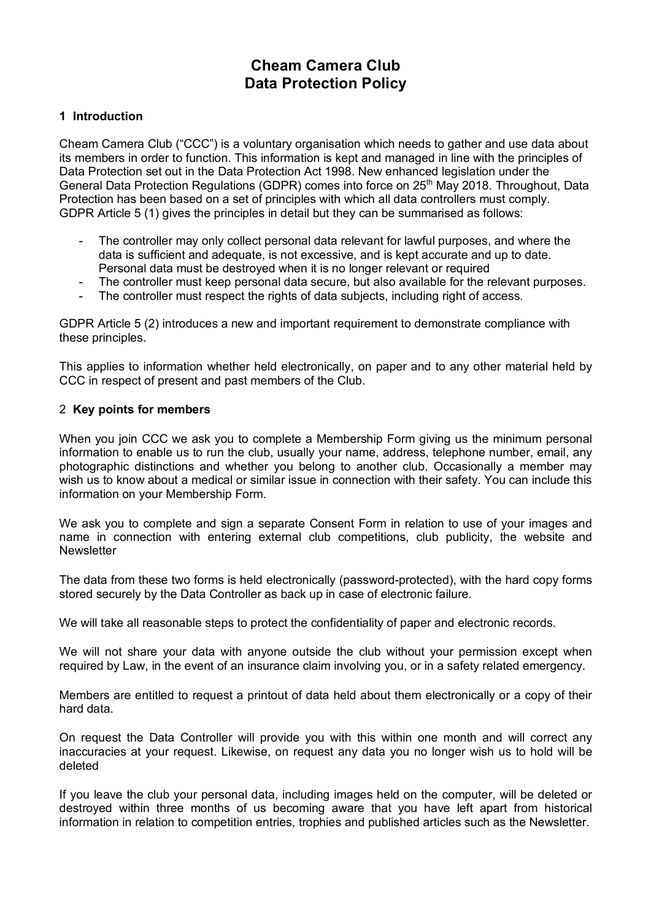# **Cheam Camera Club Data Protection Policy**

# **1 Introduction**

Cheam Camera Club ("CCC") is a voluntary organisation which needs to gather and use data about its members in order to function. This information is kept and managed in line with the principles of Data Protection set out in the Data Protection Act 1998. New enhanced legislation under the General Data Protection Regulations (GDPR) comes into force on 25<sup>th</sup> May 2018. Throughout, Data Protection has been based on a set of principles with which all data controllers must comply. GDPR Article 5 (1) gives the principles in detail but they can be summarised as follows:

- The controller may only collect personal data relevant for lawful purposes, and where the data is sufficient and adequate, is not excessive, and is kept accurate and up to date. Personal data must be destroyed when it is no longer relevant or required
- The controller must keep personal data secure, but also available for the relevant purposes.<br>- The controller must respect the rights of data subjects including right of access
- The controller must respect the rights of data subjects, including right of access.

GDPR Article 5 (2) introduces a new and important requirement to demonstrate compliance with these principles.

This applies to information whether held electronically, on paper and to any other material held by CCC in respect of present and past members of the Club.

# 2 **Key points for members**

When you join CCC we ask you to complete a Membership Form giving us the minimum personal information to enable us to run the club, usually your name, address, telephone number, email, any photographic distinctions and whether you belong to another club. Occasionally a member may wish us to know about a medical or similar issue in connection with their safety. You can include this information on your Membership Form.

We ask you to complete and sign a separate Consent Form in relation to use of your images and name in connection with entering external club competitions, club publicity, the website and **Newsletter** 

The data from these two forms is held electronically (password-protected), with the hard copy forms stored securely by the Data Controller as back up in case of electronic failure.

We will take all reasonable steps to protect the confidentiality of paper and electronic records.

We will not share your data with anyone outside the club without your permission except when required by Law, in the event of an insurance claim involving you, or in a safety related emergency.

Members are entitled to request a printout of data held about them electronically or a copy of their hard data.

On request the Data Controller will provide you with this within one month and will correct any inaccuracies at your request. Likewise, on request any data you no longer wish us to hold will be deleted

If you leave the club your personal data, including images held on the computer, will be deleted or destroyed within three months of us becoming aware that you have left apart from historical information in relation to competition entries, trophies and published articles such as the Newsletter.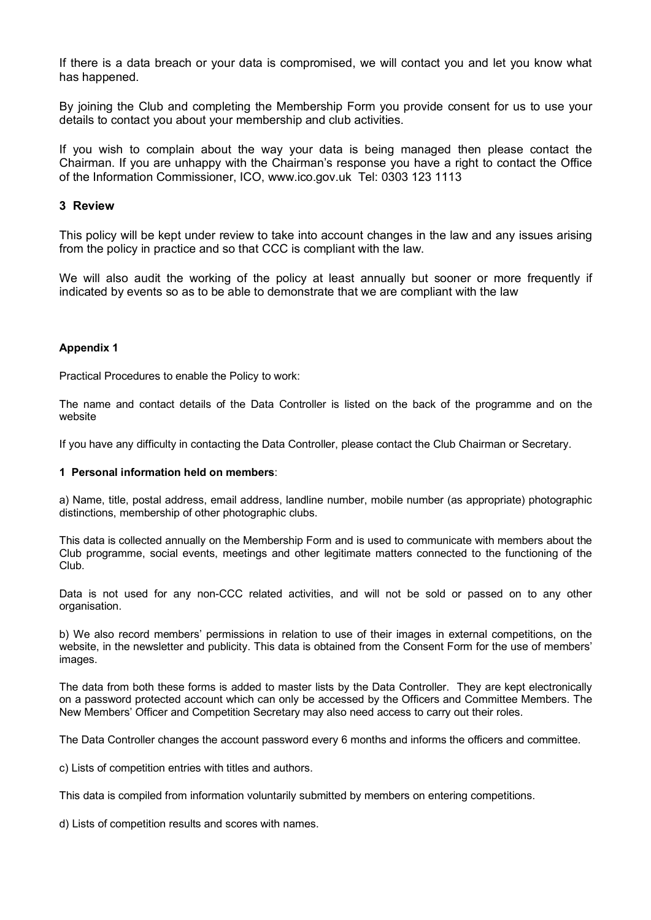If there is a data breach or your data is compromised, we will contact you and let you know what has happened.

By joining the Club and completing the Membership Form you provide consent for us to use your details to contact you about your membership and club activities.

If you wish to complain about the way your data is being managed then please contact the Chairman. If you are unhappy with the Chairman's response you have a right to contact the Office of the Information Commissioner, ICO, www.ico.gov.uk Tel: 0303 123 1113

## **3 Review**

This policy will be kept under review to take into account changes in the law and any issues arising from the policy in practice and so that CCC is compliant with the law.

We will also audit the working of the policy at least annually but sooner or more frequently if indicated by events so as to be able to demonstrate that we are compliant with the law

#### **Appendix 1**

Practical Procedures to enable the Policy to work:

The name and contact details of the Data Controller is listed on the back of the programme and on the website

If you have any difficulty in contacting the Data Controller, please contact the Club Chairman or Secretary.

#### **1 Personal information held on members**:

a) Name, title, postal address, email address, landline number, mobile number (as appropriate) photographic distinctions, membership of other photographic clubs.

This data is collected annually on the Membership Form and is used to communicate with members about the Club programme, social events, meetings and other legitimate matters connected to the functioning of the Club.

Data is not used for any non-CCC related activities, and will not be sold or passed on to any other organisation.

b) We also record members' permissions in relation to use of their images in external competitions, on the website, in the newsletter and publicity. This data is obtained from the Consent Form for the use of members' images.

The data from both these forms is added to master lists by the Data Controller. They are kept electronically on a password protected account which can only be accessed by the Officers and Committee Members. The New Members' Officer and Competition Secretary may also need access to carry out their roles.

The Data Controller changes the account password every 6 months and informs the officers and committee.

c) Lists of competition entries with titles and authors.

This data is compiled from information voluntarily submitted by members on entering competitions.

d) Lists of competition results and scores with names.